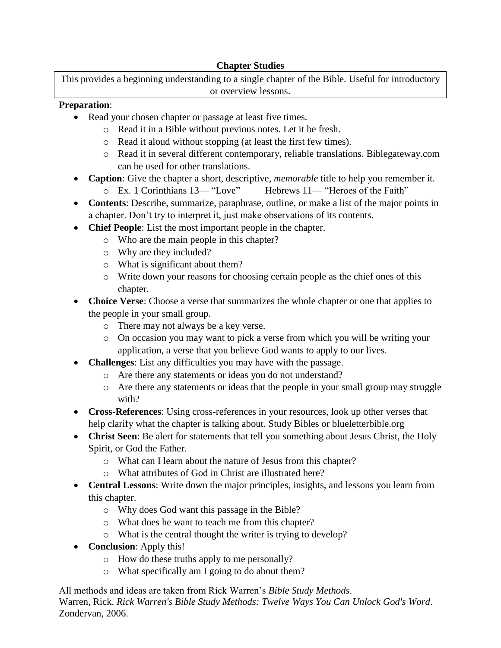## **Chapter Studies**

This provides a beginning understanding to a single chapter of the Bible. Useful for introductory or overview lessons.

## **Preparation**:

- Read your chosen chapter or passage at least five times.
	- o Read it in a Bible without previous notes. Let it be fresh.
	- o Read it aloud without stopping (at least the first few times).
	- o Read it in several different contemporary, reliable translations. Biblegateway.com can be used for other translations.
- **Caption**: Give the chapter a short, descriptive, *memorable* title to help you remember it.
	- o Ex. 1 Corinthians 13— "Love" Hebrews 11— "Heroes of the Faith"
- **Contents**: Describe, summarize, paraphrase, outline, or make a list of the major points in a chapter. Don't try to interpret it, just make observations of its contents.
- **Chief People**: List the most important people in the chapter.
	- o Who are the main people in this chapter?
		- o Why are they included?
		- o What is significant about them?
		- o Write down your reasons for choosing certain people as the chief ones of this chapter.
- **Choice Verse**: Choose a verse that summarizes the whole chapter or one that applies to the people in your small group.
	- o There may not always be a key verse.
	- o On occasion you may want to pick a verse from which you will be writing your application, a verse that you believe God wants to apply to our lives.
- **Challenges**: List any difficulties you may have with the passage.
	- o Are there any statements or ideas you do not understand?
	- o Are there any statements or ideas that the people in your small group may struggle with?
- **Cross-References**: Using cross-references in your resources, look up other verses that help clarify what the chapter is talking about. Study Bibles or blueletterbible.org
- **Christ Seen**: Be alert for statements that tell you something about Jesus Christ, the Holy Spirit, or God the Father.
	- o What can I learn about the nature of Jesus from this chapter?
	- o What attributes of God in Christ are illustrated here?
- **Central Lessons**: Write down the major principles, insights, and lessons you learn from this chapter.
	- o Why does God want this passage in the Bible?
	- o What does he want to teach me from this chapter?
	- o What is the central thought the writer is trying to develop?
- **Conclusion**: Apply this!
	- o How do these truths apply to me personally?
	- o What specifically am I going to do about them?

All methods and ideas are taken from Rick Warren's *Bible Study Methods*. Warren, Rick. *Rick Warren's Bible Study Methods: Twelve Ways You Can Unlock God's Word*. Zondervan, 2006.